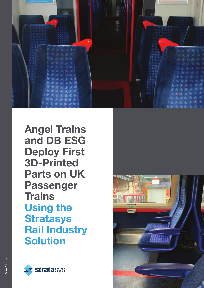

Angel Trains and DB ESG Deploy First 3D-Printed Parts on UK Passenger **Trains** Using the **Stratasys** Rail Industry Solution



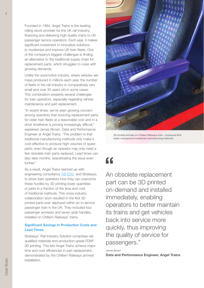Founded in 1994, Angel Trains is the leading rolling stock provider for the UK rail industry, financing and delivering high-quality trains to UK passenger service operators. Each year, it makes significant investment in innovative solutions to modernize and improve UK train fleets. One of the company's biggest challenges is finding an alternative to the traditional supply chain for replacement parts, which struggles to cope with growing demands.

Unlike the automotive industry, where vehicles are mass produced in millions each year, the number of fleets in the rail industry is comparatively very small and over 30 years old in some cases. This combination presents several challenges for train operators, especially regarding vehicle maintenance and part replacement.

"In recent times, we've seen growing concern among operators that sourcing replacement parts for older train fleets at a reasonable cost and in a short timeframe is proving increasingly difficult," explained James Brown, Data and Performance Engineer at Angel Trains. "The problem is that traditional manufacturing methods only make it cost-effective to produce high volumes of spare parts, even though an operator may only need a few obsolete train parts replaced. Lead times can also take months, exacerbating the issue even further."

As a result, Angel Trains teamed up with engineering consultancy [DB ESG,](https://dbesg.deutschebahn.com/esg) and Stratasys, to show train operators how they can overcome these hurdles by 3D printing lower quantities of parts in a fraction of the time and cost of traditional methods. This cross-industry collaboration soon resulted in the first 3D printed parts ever deployed within an in-service passenger train in the UK. They included four passenger armrests and seven grab handles, installed on Chiltern Railways' trains.

## **Significant Savings in Production Costs and** Lead Times

Stratasys' Rail Industry Solution comprises railqualified materials and production-grade FDM® 3D printing. This lets Angel Trains achieve major time and cost efficiencies in part replacement, demonstrated by the Chiltern Railways armrest installation.



3D printed armrest on Chiltern Railways train – produced 94% faster compared to traditional manufacturing methods.

# $\epsilon$

An obsolete replacement part can be 3D printed on-demand and installed immediately, enabling operators to better maintain its trains and get vehicles back into service more quickly, thus improving the quality of service for passengers."

James Brown

Data and Performance Engineer, Angel Trains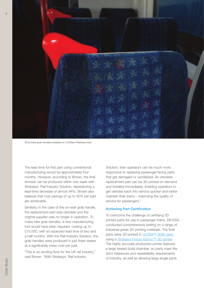

3D printed grab handles installed on a Chiltern Railways train.

The lead time for this part using conventional manufacturing would be approximately four months. However, according to Brown, the final armrest can be produced within one week with Stratasys' Rail Industry Solution, representing a lead-time decrease of almost 94%. Brown also believes that cost savings of up to 50% per part are achievable.

Similarly, in the case of the on-seat grab handle, the replacement part was obsolete and the original supplier was no longer in operation. To make new grab handles, a new manufacturing tool would have been required, costing up to £15,000, with an expected lead time of two and a half months. With the Rail Industry Solution, the grab handles were produced in just three weeks at a significantly lower cost per part.

"This is an exciting time for the UK rail industry," said Brown. "With Stratasys' Rail Industry

Solution, train operators can be much more responsive to replacing passenger-facing parts that get damaged or vandalized. An obsolete replacement part can be 3D printed on demand and installed immediately, enabling operators to get vehicles back into service quicker and better maintain their trains – improving the quality of service for passengers."

### Achieving Part Certification

To overcome the challenge of certifying 3D printed parts for use in passenger trains, DB ESG conducted comprehensive testing on a range of industrial-grade 3D printing materials. The final parts were 3D printed in [ULTEM™ 9085 resin](https://www.stratasys.com/materials/search/ultem9085) using a [Stratasys Fortus 450mc™ 3D printer.](https://www.stratasys.com/3d-printers/fortus-380mc-450mc) The highly accurate production printer features a large heated build chamber, so parts meet the strict tolerances and repeatability requirements of industry, as well as allowing large single parts